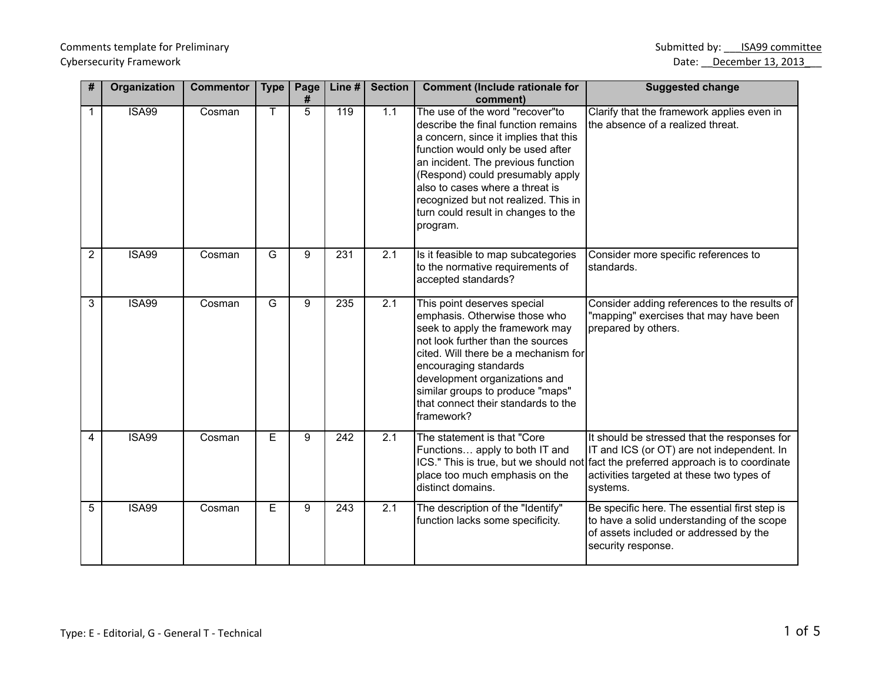Comments template for Preliminary

| #              | Organization | <b>Commentor</b> | <b>Type</b>    | Page<br># | Line #           | <b>Section</b>   | <b>Comment (Include rationale for</b><br>comment)                                                                                                                                                                                                                                                                                                            | <b>Suggested change</b>                                                                                                                                                                                                                   |
|----------------|--------------|------------------|----------------|-----------|------------------|------------------|--------------------------------------------------------------------------------------------------------------------------------------------------------------------------------------------------------------------------------------------------------------------------------------------------------------------------------------------------------------|-------------------------------------------------------------------------------------------------------------------------------------------------------------------------------------------------------------------------------------------|
| 1              | <b>ISA99</b> | Cosman           | т              | 5         | 119              | 1.1              | The use of the word "recover"to<br>describe the final function remains<br>a concern, since it implies that this<br>function would only be used after<br>an incident. The previous function<br>(Respond) could presumably apply<br>also to cases where a threat is<br>recognized but not realized. This in<br>turn could result in changes to the<br>program. | Clarify that the framework applies even in<br>the absence of a realized threat.                                                                                                                                                           |
| $\overline{2}$ | <b>ISA99</b> | Cosman           | $\overline{G}$ | 9         | 231              | 2.1              | Is it feasible to map subcategories<br>to the normative requirements of<br>accepted standards?                                                                                                                                                                                                                                                               | Consider more specific references to<br>standards.                                                                                                                                                                                        |
| $\overline{3}$ | <b>ISA99</b> | Cosman           | G              | 9         | 235              | $\overline{2.1}$ | This point deserves special<br>emphasis. Otherwise those who<br>seek to apply the framework may<br>not look further than the sources<br>cited. Will there be a mechanism for<br>encouraging standards<br>development organizations and<br>similar groups to produce "maps"<br>that connect their standards to the<br>framework?                              | Consider adding references to the results of<br>"mapping" exercises that may have been<br>prepared by others.                                                                                                                             |
| 4              | <b>ISA99</b> | Cosman           | $\overline{E}$ | 9         | $\overline{242}$ | 2.1              | The statement is that "Core<br>Functions apply to both IT and<br>place too much emphasis on the<br>distinct domains.                                                                                                                                                                                                                                         | It should be stressed that the responses for<br>IT and ICS (or OT) are not independent. In<br>ICS." This is true, but we should not fact the preferred approach is to coordinate<br>activities targeted at these two types of<br>systems. |
| 5              | <b>ISA99</b> | Cosman           | E              | 9         | 243              | 2.1              | The description of the "Identify"<br>function lacks some specificity.                                                                                                                                                                                                                                                                                        | Be specific here. The essential first step is<br>to have a solid understanding of the scope<br>of assets included or addressed by the<br>security response.                                                                               |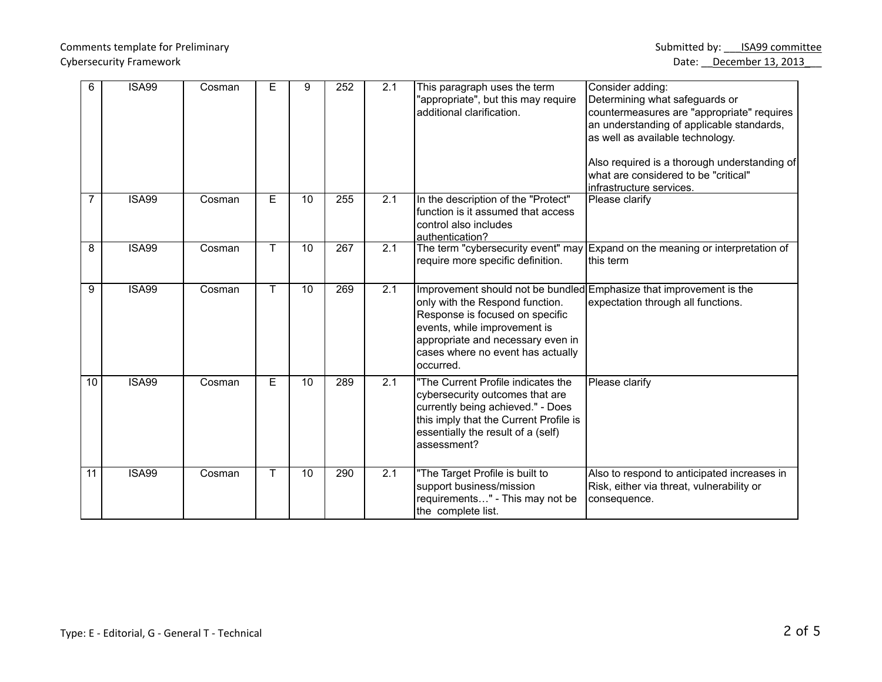## Cybersecurity Framework **Date:** December 13, 2013

| 6              | <b>ISA99</b> | Cosman | Е  | 9  | 252 | 2.1              | This paragraph uses the term<br>"appropriate", but this may require<br>additional clarification.                                                                                                          | Consider adding:<br>Determining what safeguards or<br>countermeasures are "appropriate" requires<br>an understanding of applicable standards,<br>as well as available technology.<br>Also required is a thorough understanding of<br>what are considered to be "critical"<br>infrastructure services. |
|----------------|--------------|--------|----|----|-----|------------------|-----------------------------------------------------------------------------------------------------------------------------------------------------------------------------------------------------------|-------------------------------------------------------------------------------------------------------------------------------------------------------------------------------------------------------------------------------------------------------------------------------------------------------|
| $\overline{7}$ | <b>ISA99</b> | Cosman | E  | 10 | 255 | 2.1              | In the description of the "Protect"<br>function is it assumed that access<br>control also includes<br>authentication?                                                                                     | Please clarify                                                                                                                                                                                                                                                                                        |
| 8              | <b>ISA99</b> | Cosman | T  | 10 | 267 | 2.1              | require more specific definition.                                                                                                                                                                         | The term "cybersecurity event" may Expand on the meaning or interpretation of<br>this term                                                                                                                                                                                                            |
| 9              | <b>ISA99</b> | Cosman | T. | 10 | 269 | $\overline{2.1}$ | only with the Respond function.<br>Response is focused on specific<br>events, while improvement is<br>appropriate and necessary even in<br>cases where no event has actually<br>occurred.                 | Improvement should not be bundled Emphasize that improvement is the<br>expectation through all functions.                                                                                                                                                                                             |
| 10             | <b>ISA99</b> | Cosman | E  | 10 | 289 | 2.1              | "The Current Profile indicates the<br>cybersecurity outcomes that are<br>currently being achieved." - Does<br>this imply that the Current Profile is<br>essentially the result of a (self)<br>assessment? | Please clarify                                                                                                                                                                                                                                                                                        |
| 11             | <b>ISA99</b> | Cosman | T. | 10 | 290 | 2.1              | "The Target Profile is built to<br>support business/mission<br>requirements" - This may not be<br>the complete list.                                                                                      | Also to respond to anticipated increases in<br>Risk, either via threat, vulnerability or<br>consequence.                                                                                                                                                                                              |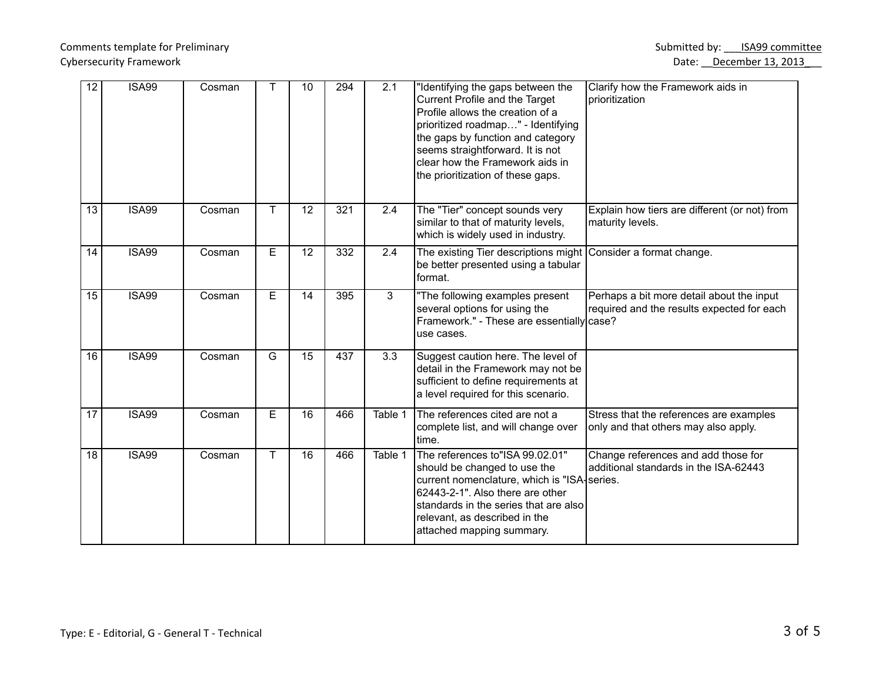## Comments template for Preliminary **Submitted by:** \_\_\_ISA99 committee **Submitted by:** \_\_\_ISA99 committee Cybersecurity Framework **Date:** December 13, 2013

| 12              | <b>ISA99</b> | Cosman | т  | 10              | 294 | 2.1            | "Identifying the gaps between the<br>Current Profile and the Target<br>Profile allows the creation of a<br>prioritized roadmap" - Identifying<br>the gaps by function and category<br>seems straightforward. It is not<br>clear how the Framework aids in<br>the prioritization of these gaps. | Clarify how the Framework aids in<br>prioritization                                     |
|-----------------|--------------|--------|----|-----------------|-----|----------------|------------------------------------------------------------------------------------------------------------------------------------------------------------------------------------------------------------------------------------------------------------------------------------------------|-----------------------------------------------------------------------------------------|
| 13              | <b>ISA99</b> | Cosman | Τ  | 12              | 321 | 2.4            | The "Tier" concept sounds very<br>similar to that of maturity levels,<br>which is widely used in industry.                                                                                                                                                                                     | Explain how tiers are different (or not) from<br>maturity levels.                       |
| 14              | <b>ISA99</b> | Cosman | E  | 12              | 332 | 2.4            | The existing Tier descriptions might<br>be better presented using a tabular<br>format.                                                                                                                                                                                                         | Consider a format change.                                                               |
| $\overline{15}$ | <b>ISA99</b> | Cosman | E  | $\overline{14}$ | 395 | $\overline{3}$ | "The following examples present<br>several options for using the<br>Framework." - These are essentially case?<br>luse cases.                                                                                                                                                                   | Perhaps a bit more detail about the input<br>required and the results expected for each |
| 16              | <b>ISA99</b> | Cosman | G  | $\overline{15}$ | 437 | 3.3            | Suggest caution here. The level of<br>detail in the Framework may not be<br>sufficient to define requirements at<br>a level required for this scenario.                                                                                                                                        |                                                                                         |
| 17              | <b>ISA99</b> | Cosman | E  | 16              | 466 | Table 1        | The references cited are not a<br>complete list, and will change over<br>ltime.                                                                                                                                                                                                                | Stress that the references are examples<br>only and that others may also apply.         |
| $\overline{18}$ | <b>ISA99</b> | Cosman | T. | $\overline{16}$ | 466 | Table 1        | The references to"ISA 99.02.01"<br>should be changed to use the<br>current nomenclature, which is "ISA-series.<br>62443-2-1". Also there are other<br>standards in the series that are also<br>relevant, as described in the<br>attached mapping summary.                                      | Change references and add those for<br>additional standards in the ISA-62443            |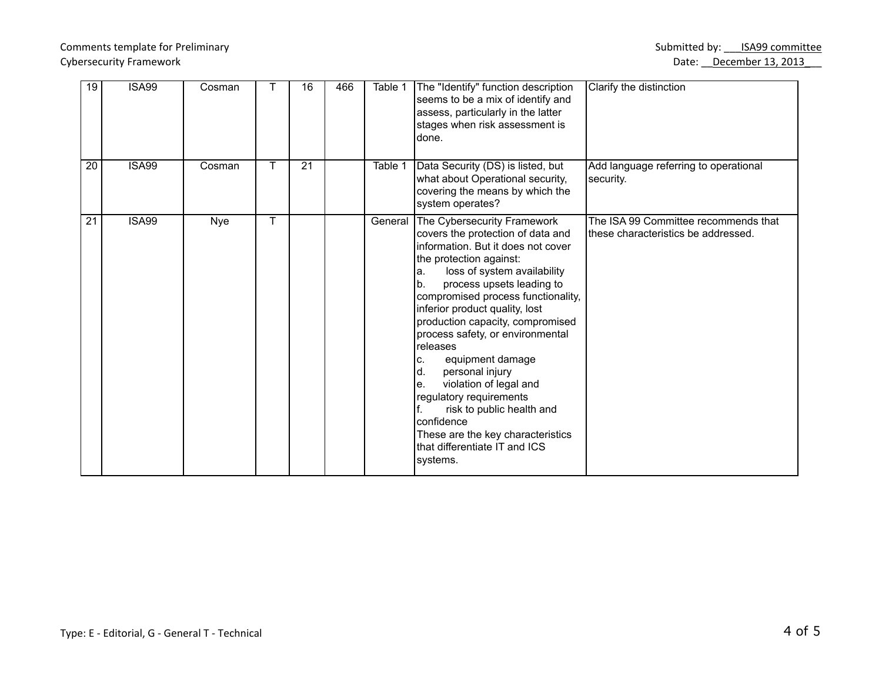## Comments template for Preliminary **Submitted by:** \_\_\_ISA99 committee **Submitted by:** \_\_\_ISA99 committee Cybersecurity Framework **Date:** December 13, 2013

| 19              | <b>ISA99</b> | Cosman     |   | 16 | 466 | Table 1 | The "Identify" function description<br>seems to be a mix of identify and<br>assess, particularly in the latter<br>stages when risk assessment is<br>ldone.                                                                                                                                                                                                                                                                                                                                                                                                                                                                     | Clarify the distinction                                                      |
|-----------------|--------------|------------|---|----|-----|---------|--------------------------------------------------------------------------------------------------------------------------------------------------------------------------------------------------------------------------------------------------------------------------------------------------------------------------------------------------------------------------------------------------------------------------------------------------------------------------------------------------------------------------------------------------------------------------------------------------------------------------------|------------------------------------------------------------------------------|
| 20              | <b>ISA99</b> | Cosman     | Τ | 21 |     | Table 1 | Data Security (DS) is listed, but<br>what about Operational security,<br>covering the means by which the<br>system operates?                                                                                                                                                                                                                                                                                                                                                                                                                                                                                                   | Add language referring to operational<br>security.                           |
| $\overline{21}$ | <b>ISA99</b> | <b>Nye</b> | Τ |    |     |         | General The Cybersecurity Framework<br>covers the protection of data and<br>linformation. But it does not cover<br>the protection against:<br>loss of system availability<br>la.<br>lb.<br>process upsets leading to<br>compromised process functionality,<br>inferior product quality, lost<br>production capacity, compromised<br>process safety, or environmental<br>releases<br>equipment damage<br>C.<br>d.<br>personal injury<br>violation of legal and<br>le.<br>regulatory requirements<br>risk to public health and<br>Iconfidence<br>These are the key characteristics<br>Ithat differentiate IT and ICS<br>systems. | The ISA 99 Committee recommends that<br>Ithese characteristics be addressed. |